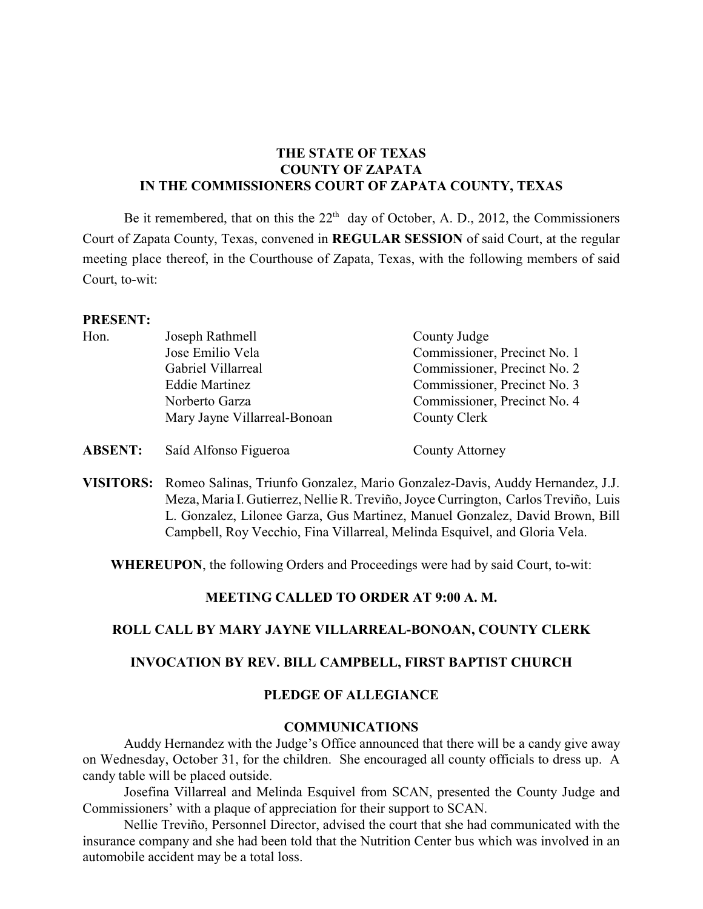# **THE STATE OF TEXAS COUNTY OF ZAPATA IN THE COMMISSIONERS COURT OF ZAPATA COUNTY, TEXAS**

Be it remembered, that on this the  $22<sup>th</sup>$  day of October, A. D., 2012, the Commissioners Court of Zapata County, Texas, convened in **REGULAR SESSION** of said Court, at the regular meeting place thereof, in the Courthouse of Zapata, Texas, with the following members of said Court, to-wit:

#### **PRESENT:**

| Hon. | Joseph Rathmell              | County Judge                 |
|------|------------------------------|------------------------------|
|      | Jose Emilio Vela             | Commissioner, Precinct No. 1 |
|      | Gabriel Villarreal           | Commissioner, Precinct No. 2 |
|      | <b>Eddie Martinez</b>        | Commissioner, Precinct No. 3 |
|      | Norberto Garza               | Commissioner, Precinct No. 4 |
|      | Mary Jayne Villarreal-Bonoan | County Clerk                 |
|      |                              |                              |

**ABSENT:** Saíd Alfonso Figueroa County Attorney

**VISITORS:** Romeo Salinas, Triunfo Gonzalez, Mario Gonzalez-Davis, Auddy Hernandez, J.J. Meza, Maria I. Gutierrez, NellieR. Treviño,JoyceCurrington, Carlos Treviño, Luis L. Gonzalez, Lilonee Garza, Gus Martinez, Manuel Gonzalez, David Brown, Bill Campbell, Roy Vecchio, Fina Villarreal, Melinda Esquivel, and Gloria Vela.

**WHEREUPON**, the following Orders and Proceedings were had by said Court, to-wit:

### **MEETING CALLED TO ORDER AT 9:00 A. M.**

### **ROLL CALL BY MARY JAYNE VILLARREAL-BONOAN, COUNTY CLERK**

### **INVOCATION BY REV. BILL CAMPBELL, FIRST BAPTIST CHURCH**

### **PLEDGE OF ALLEGIANCE**

### **COMMUNICATIONS**

Auddy Hernandez with the Judge's Office announced that there will be a candy give away on Wednesday, October 31, for the children. She encouraged all county officials to dress up. A candy table will be placed outside.

Josefina Villarreal and Melinda Esquivel from SCAN, presented the County Judge and Commissioners' with a plaque of appreciation for their support to SCAN.

Nellie Treviño, Personnel Director, advised the court that she had communicated with the insurance company and she had been told that the Nutrition Center bus which was involved in an automobile accident may be a total loss.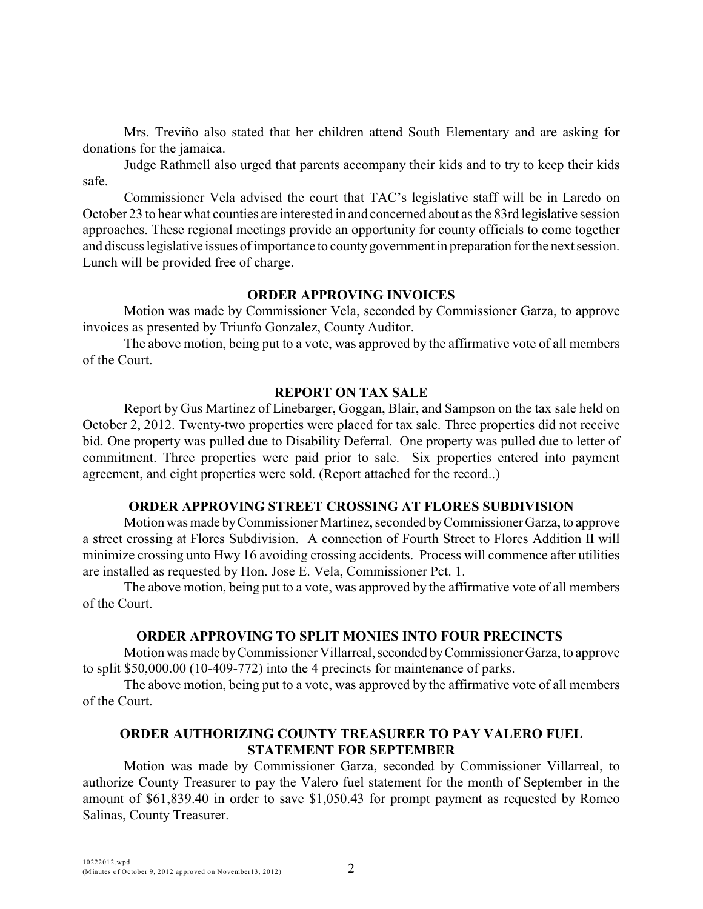Mrs. Treviño also stated that her children attend South Elementary and are asking for donations for the jamaica.

Judge Rathmell also urged that parents accompany their kids and to try to keep their kids safe.

Commissioner Vela advised the court that TAC's legislative staff will be in Laredo on October 23 to hear what counties are interested in and concerned about as the 83rd legislative session approaches. These regional meetings provide an opportunity for county officials to come together and discuss legislative issues of importance to county government in preparation for the next session. Lunch will be provided free of charge.

#### **ORDER APPROVING INVOICES**

Motion was made by Commissioner Vela, seconded by Commissioner Garza, to approve invoices as presented by Triunfo Gonzalez, County Auditor.

The above motion, being put to a vote, was approved by the affirmative vote of all members of the Court.

#### **REPORT ON TAX SALE**

Report by Gus Martinez of Linebarger, Goggan, Blair, and Sampson on the tax sale held on October 2, 2012. Twenty-two properties were placed for tax sale. Three properties did not receive bid. One property was pulled due to Disability Deferral. One property was pulled due to letter of commitment. Three properties were paid prior to sale. Six properties entered into payment agreement, and eight properties were sold. (Report attached for the record..)

### **ORDER APPROVING STREET CROSSING AT FLORES SUBDIVISION**

Motion was made by Commissioner Martinez, seconded by Commissioner Garza, to approve a street crossing at Flores Subdivision. A connection of Fourth Street to Flores Addition II will minimize crossing unto Hwy 16 avoiding crossing accidents. Process will commence after utilities are installed as requested by Hon. Jose E. Vela, Commissioner Pct. 1.

The above motion, being put to a vote, was approved by the affirmative vote of all members of the Court.

### **ORDER APPROVING TO SPLIT MONIES INTO FOUR PRECINCTS**

Motion was made by Commissioner Villarreal, seconded by Commissioner Garza, to approve to split \$50,000.00 (10-409-772) into the 4 precincts for maintenance of parks.

The above motion, being put to a vote, was approved by the affirmative vote of all members of the Court.

# **ORDER AUTHORIZING COUNTY TREASURER TO PAY VALERO FUEL STATEMENT FOR SEPTEMBER**

Motion was made by Commissioner Garza, seconded by Commissioner Villarreal, to authorize County Treasurer to pay the Valero fuel statement for the month of September in the amount of \$61,839.40 in order to save \$1,050.43 for prompt payment as requested by Romeo Salinas, County Treasurer.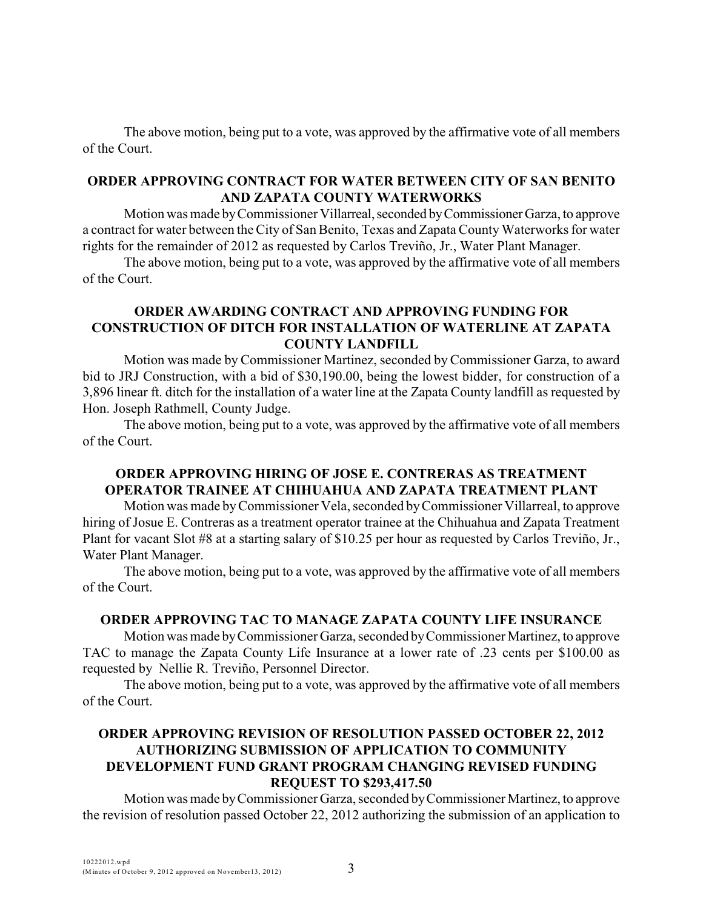The above motion, being put to a vote, was approved by the affirmative vote of all members of the Court.

### **ORDER APPROVING CONTRACT FOR WATER BETWEEN CITY OF SAN BENITO AND ZAPATA COUNTY WATERWORKS**

Motion was made by Commissioner Villarreal, seconded by Commissioner Garza, to approve a contract for water between the City of San Benito, Texas and Zapata County Waterworks for water rights for the remainder of 2012 as requested by Carlos Treviño, Jr., Water Plant Manager.

The above motion, being put to a vote, was approved by the affirmative vote of all members of the Court.

# **ORDER AWARDING CONTRACT AND APPROVING FUNDING FOR CONSTRUCTION OF DITCH FOR INSTALLATION OF WATERLINE AT ZAPATA COUNTY LANDFILL**

Motion was made by Commissioner Martinez, seconded by Commissioner Garza, to award bid to JRJ Construction, with a bid of \$30,190.00, being the lowest bidder, for construction of a 3,896 linear ft. ditch for the installation of a water line at the Zapata County landfill as requested by Hon. Joseph Rathmell, County Judge.

The above motion, being put to a vote, was approved by the affirmative vote of all members of the Court.

# **ORDER APPROVING HIRING OF JOSE E. CONTRERAS AS TREATMENT OPERATOR TRAINEE AT CHIHUAHUA AND ZAPATA TREATMENT PLANT**

Motion was made byCommissioner Vela, seconded by Commissioner Villarreal, to approve hiring of Josue E. Contreras as a treatment operator trainee at the Chihuahua and Zapata Treatment Plant for vacant Slot #8 at a starting salary of \$10.25 per hour as requested by Carlos Treviño, Jr., Water Plant Manager.

The above motion, being put to a vote, was approved by the affirmative vote of all members of the Court.

# **ORDER APPROVING TAC TO MANAGE ZAPATA COUNTY LIFE INSURANCE**

Motion was made by Commissioner Garza, seconded by Commissioner Martinez, to approve TAC to manage the Zapata County Life Insurance at a lower rate of .23 cents per \$100.00 as requested by Nellie R. Treviño, Personnel Director.

The above motion, being put to a vote, was approved by the affirmative vote of all members of the Court.

# **ORDER APPROVING REVISION OF RESOLUTION PASSED OCTOBER 22, 2012 AUTHORIZING SUBMISSION OF APPLICATION TO COMMUNITY DEVELOPMENT FUND GRANT PROGRAM CHANGING REVISED FUNDING REQUEST TO \$293,417.50**

Motion was made by Commissioner Garza, seconded by Commissioner Martinez, to approve the revision of resolution passed October 22, 2012 authorizing the submission of an application to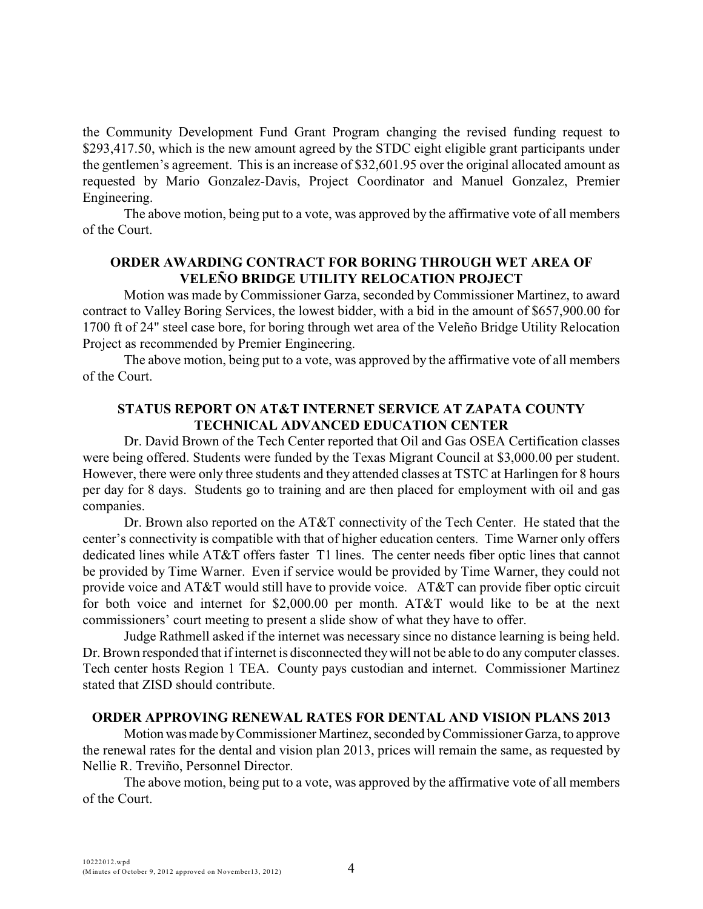the Community Development Fund Grant Program changing the revised funding request to \$293,417.50, which is the new amount agreed by the STDC eight eligible grant participants under the gentlemen's agreement. This is an increase of \$32,601.95 over the original allocated amount as requested by Mario Gonzalez-Davis, Project Coordinator and Manuel Gonzalez, Premier Engineering.

The above motion, being put to a vote, was approved by the affirmative vote of all members of the Court.

### **ORDER AWARDING CONTRACT FOR BORING THROUGH WET AREA OF VELEÑO BRIDGE UTILITY RELOCATION PROJECT**

Motion was made by Commissioner Garza, seconded by Commissioner Martinez, to award contract to Valley Boring Services, the lowest bidder, with a bid in the amount of \$657,900.00 for 1700 ft of 24" steel case bore, for boring through wet area of the Veleño Bridge Utility Relocation Project as recommended by Premier Engineering.

The above motion, being put to a vote, was approved by the affirmative vote of all members of the Court.

### **STATUS REPORT ON AT&T INTERNET SERVICE AT ZAPATA COUNTY TECHNICAL ADVANCED EDUCATION CENTER**

Dr. David Brown of the Tech Center reported that Oil and Gas OSEA Certification classes were being offered. Students were funded by the Texas Migrant Council at \$3,000.00 per student. However, there were only three students and they attended classes at TSTC at Harlingen for 8 hours per day for 8 days. Students go to training and are then placed for employment with oil and gas companies.

Dr. Brown also reported on the AT&T connectivity of the Tech Center. He stated that the center's connectivity is compatible with that of higher education centers. Time Warner only offers dedicated lines while AT&T offers faster T1 lines. The center needs fiber optic lines that cannot be provided by Time Warner. Even if service would be provided by Time Warner, they could not provide voice and AT&T would still have to provide voice. AT&T can provide fiber optic circuit for both voice and internet for \$2,000.00 per month. AT&T would like to be at the next commissioners' court meeting to present a slide show of what they have to offer.

Judge Rathmell asked if the internet was necessary since no distance learning is being held. Dr. Brown responded that if internet is disconnected they will not be able to do any computer classes. Tech center hosts Region 1 TEA. County pays custodian and internet. Commissioner Martinez stated that ZISD should contribute.

### **ORDER APPROVING RENEWAL RATES FOR DENTAL AND VISION PLANS 2013**

Motion was made by Commissioner Martinez, seconded by Commissioner Garza, to approve the renewal rates for the dental and vision plan 2013, prices will remain the same, as requested by Nellie R. Treviño, Personnel Director.

The above motion, being put to a vote, was approved by the affirmative vote of all members of the Court.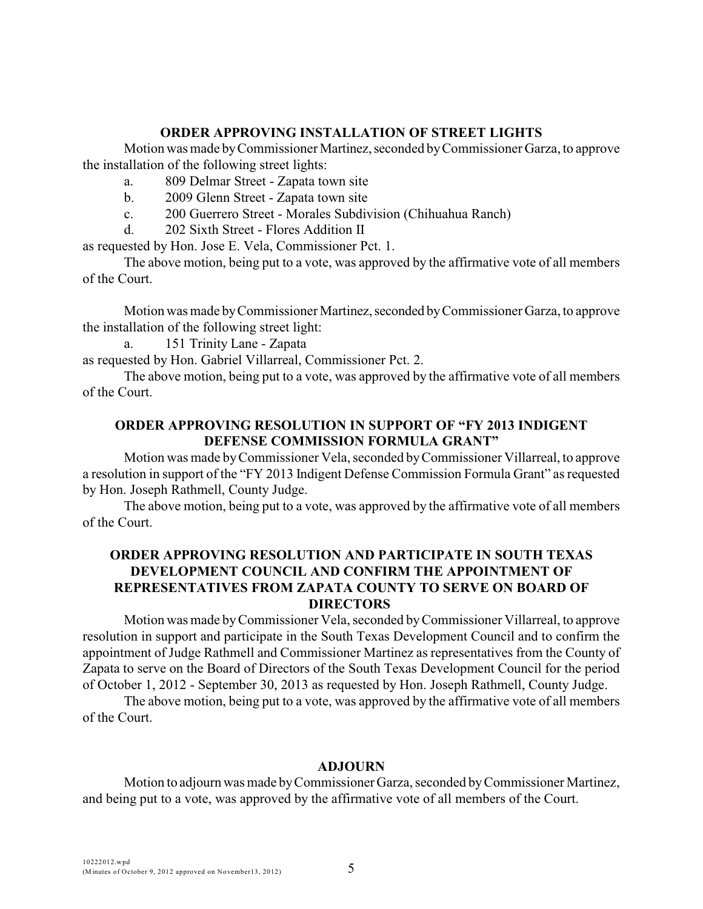### **ORDER APPROVING INSTALLATION OF STREET LIGHTS**

Motion was made by Commissioner Martinez, seconded by Commissioner Garza, to approve the installation of the following street lights:

- a. 809 Delmar Street Zapata town site
- b. 2009 Glenn Street Zapata town site
- c. 200 Guerrero Street Morales Subdivision (Chihuahua Ranch)
- d. 202 Sixth Street Flores Addition II

as requested by Hon. Jose E. Vela, Commissioner Pct. 1.

The above motion, being put to a vote, was approved by the affirmative vote of all members of the Court.

Motion was made by Commissioner Martinez, seconded by Commissioner Garza, to approve the installation of the following street light:

a. 151 Trinity Lane - Zapata

as requested by Hon. Gabriel Villarreal, Commissioner Pct. 2.

The above motion, being put to a vote, was approved by the affirmative vote of all members of the Court.

### **ORDER APPROVING RESOLUTION IN SUPPORT OF "FY 2013 INDIGENT DEFENSE COMMISSION FORMULA GRANT"**

Motion was made by Commissioner Vela, seconded byCommissioner Villarreal, to approve a resolution in support of the "FY 2013 Indigent Defense Commission Formula Grant" as requested by Hon. Joseph Rathmell, County Judge.

The above motion, being put to a vote, was approved by the affirmative vote of all members of the Court.

### **ORDER APPROVING RESOLUTION AND PARTICIPATE IN SOUTH TEXAS DEVELOPMENT COUNCIL AND CONFIRM THE APPOINTMENT OF REPRESENTATIVES FROM ZAPATA COUNTY TO SERVE ON BOARD OF DIRECTORS**

Motion was made byCommissioner Vela, seconded byCommissioner Villarreal, to approve resolution in support and participate in the South Texas Development Council and to confirm the appointment of Judge Rathmell and Commissioner Martinez as representatives from the County of Zapata to serve on the Board of Directors of the South Texas Development Council for the period of October 1, 2012 - September 30, 2013 as requested by Hon. Joseph Rathmell, County Judge.

The above motion, being put to a vote, was approved by the affirmative vote of all members of the Court.

# **ADJOURN**

Motion to adjourn was made by Commissioner Garza, seconded by Commissioner Martinez, and being put to a vote, was approved by the affirmative vote of all members of the Court.